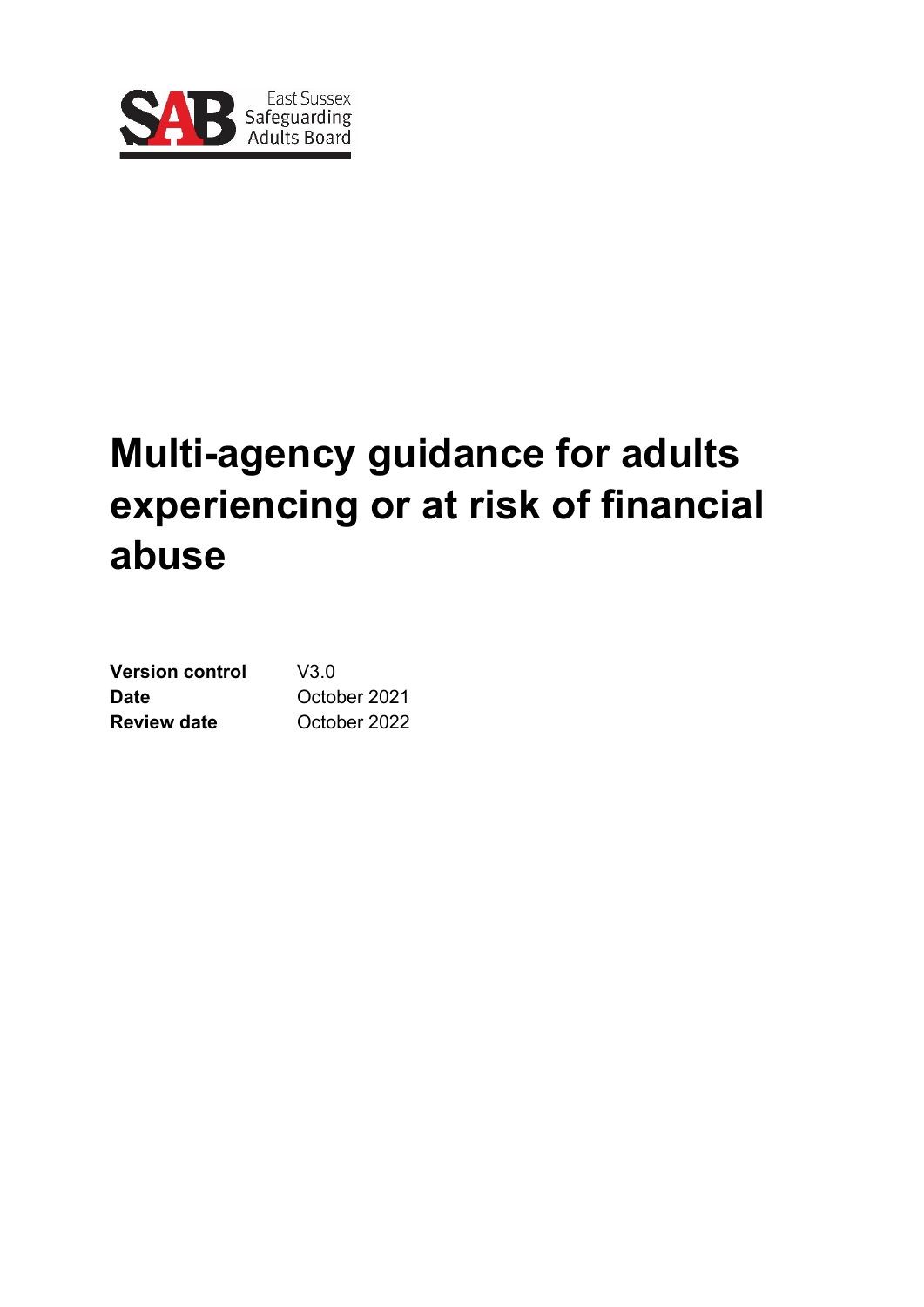

# **Multi-agency guidance for adults experiencing or at risk of financial abuse**

| <b>Version control</b> | V3 0         |
|------------------------|--------------|
| Date                   | October 2021 |
| <b>Review date</b>     | October 2022 |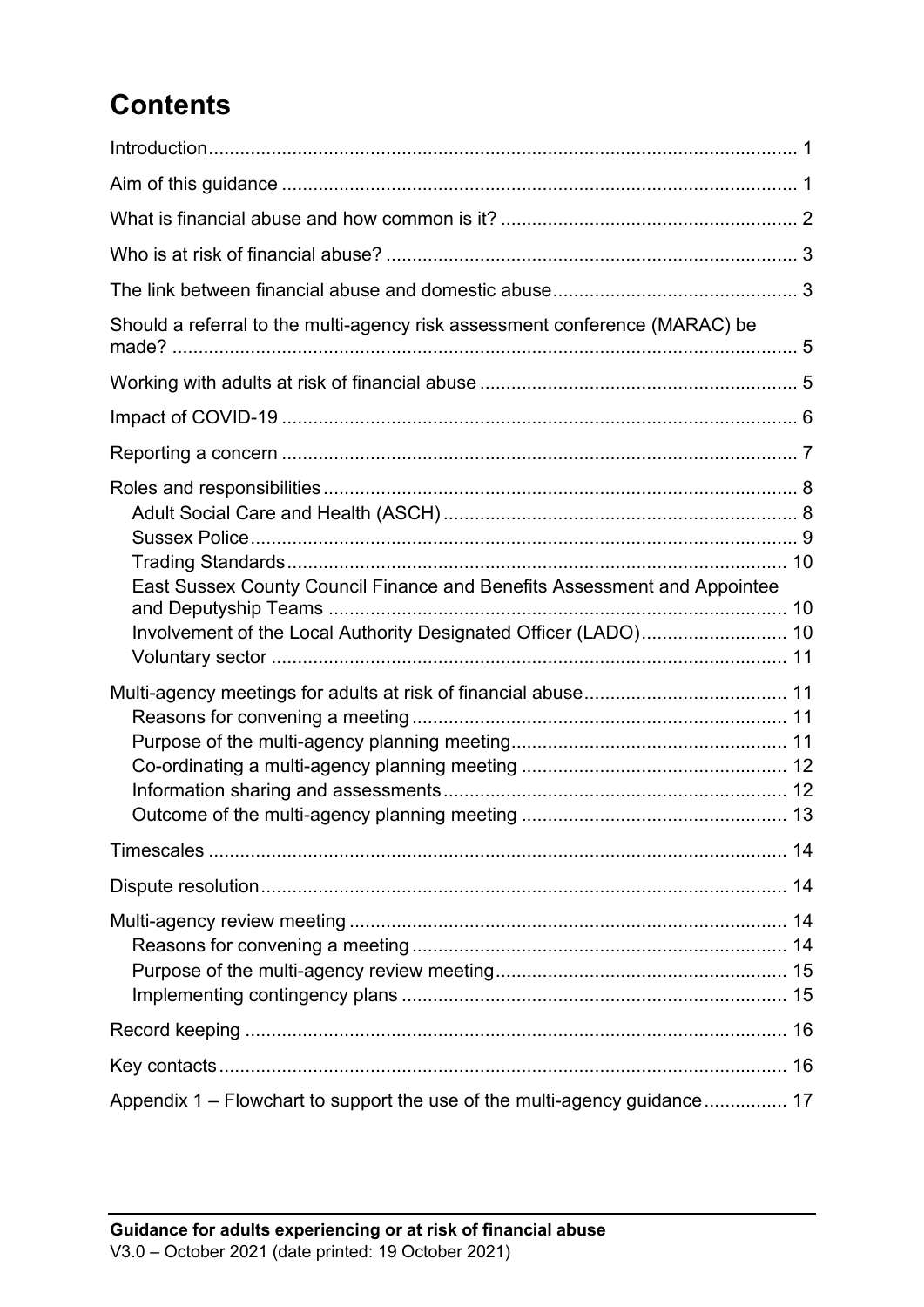## **Contents**

| Should a referral to the multi-agency risk assessment conference (MARAC) be                                                                 |
|---------------------------------------------------------------------------------------------------------------------------------------------|
|                                                                                                                                             |
|                                                                                                                                             |
|                                                                                                                                             |
|                                                                                                                                             |
| East Sussex County Council Finance and Benefits Assessment and Appointee<br>Involvement of the Local Authority Designated Officer (LADO) 10 |
|                                                                                                                                             |
|                                                                                                                                             |
|                                                                                                                                             |
|                                                                                                                                             |
|                                                                                                                                             |
| 16                                                                                                                                          |
| Appendix 1 - Flowchart to support the use of the multi-agency guidance 17                                                                   |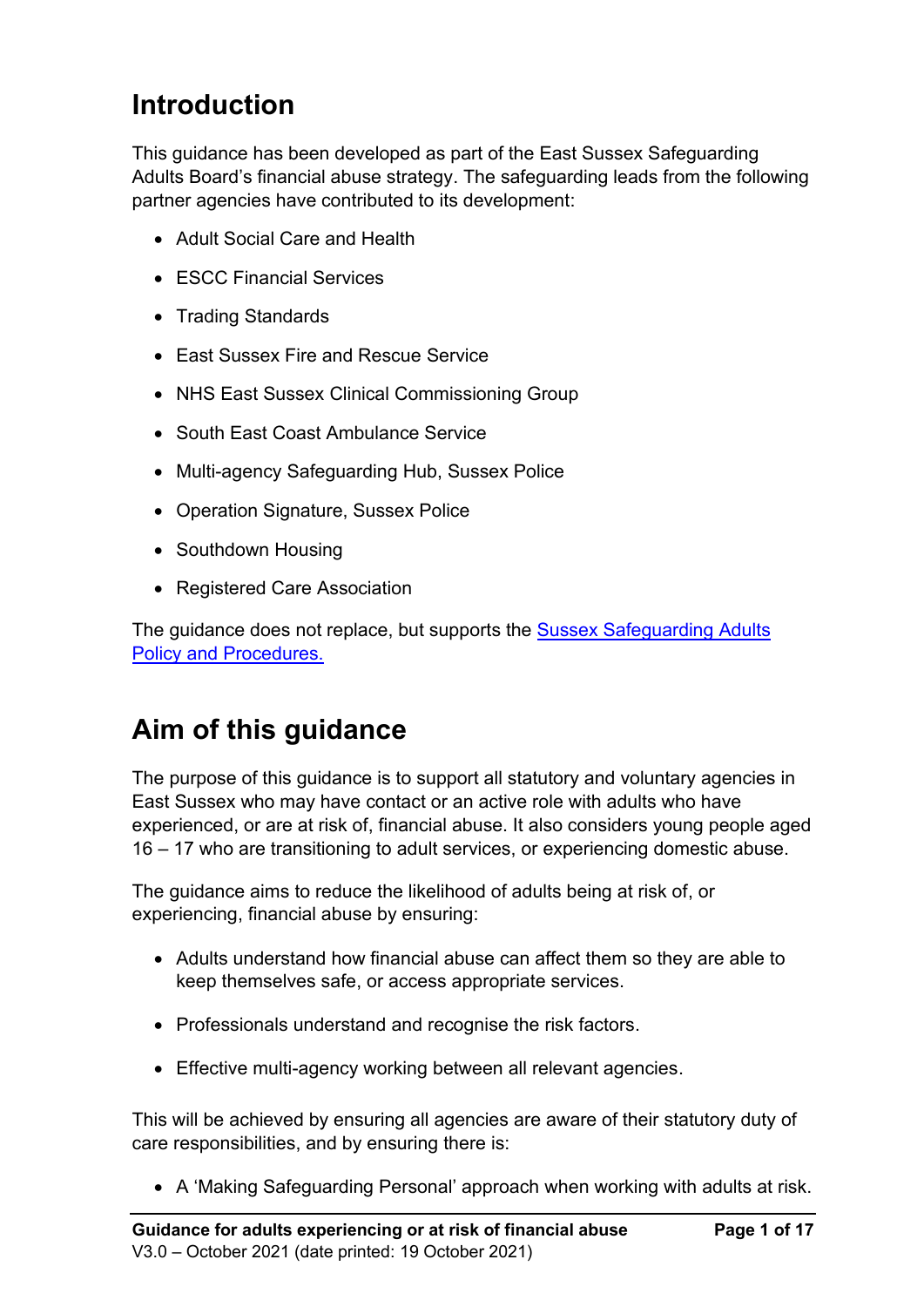## <span id="page-2-0"></span>**Introduction**

This guidance has been developed as part of the East Sussex Safeguarding Adults Board's financial abuse strategy. The safeguarding leads from the following partner agencies have contributed to its development:

- Adult Social Care and Health
- ESCC Financial Services
- Trading Standards
- East Sussex Fire and Rescue Service
- NHS East Sussex Clinical Commissioning Group
- South East Coast Ambulance Service
- Multi-agency Safeguarding Hub, Sussex Police
- Operation Signature, Sussex Police
- Southdown Housing
- Registered Care Association

The guidance does not replace, but supports the Sussex Safeguarding Adults [Policy and Procedures.](http://sussexsafeguardingadults.procedures.org.uk/)

## <span id="page-2-1"></span>**Aim of this guidance**

The purpose of this guidance is to support all statutory and voluntary agencies in East Sussex who may have contact or an active role with adults who have experienced, or are at risk of, financial abuse. It also considers young people aged 16 – 17 who are transitioning to adult services, or experiencing domestic abuse.

The guidance aims to reduce the likelihood of adults being at risk of, or experiencing, financial abuse by ensuring:

- Adults understand how financial abuse can affect them so they are able to keep themselves safe, or access appropriate services.
- Professionals understand and recognise the risk factors.
- Effective multi-agency working between all relevant agencies.

This will be achieved by ensuring all agencies are aware of their statutory duty of care responsibilities, and by ensuring there is:

• A 'Making Safeguarding Personal' approach when working with adults at risk.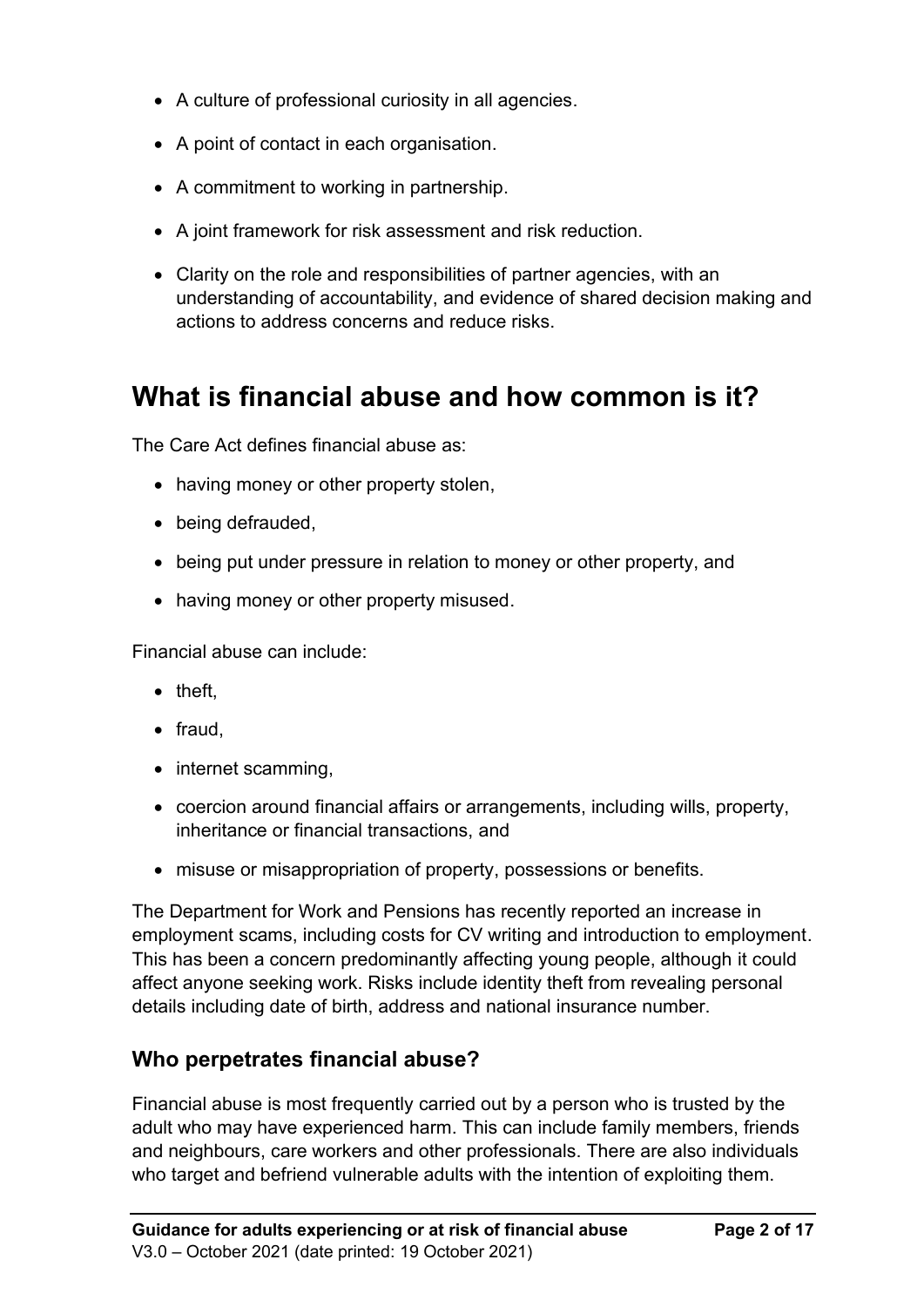- A culture of professional curiosity in all agencies.
- A point of contact in each organisation.
- A commitment to working in partnership.
- A joint framework for risk assessment and risk reduction.
- Clarity on the role and responsibilities of partner agencies, with an understanding of accountability, and evidence of shared decision making and actions to address concerns and reduce risks.

### <span id="page-3-0"></span>**What is financial abuse and how common is it?**

The Care Act defines financial abuse as:

- having money or other property stolen,
- being defrauded,
- being put under pressure in relation to money or other property, and
- having money or other property misused.

Financial abuse can include:

- theft,
- fraud,
- internet scamming,
- coercion around financial affairs or arrangements, including wills, property, inheritance or financial transactions, and
- misuse or misappropriation of property, possessions or benefits.

The Department for Work and Pensions has recently reported an increase in employment scams, including costs for CV writing and introduction to employment. This has been a concern predominantly affecting young people, although it could affect anyone seeking work. Risks include identity theft from revealing personal details including date of birth, address and national insurance number.

### **Who perpetrates financial abuse?**

Financial abuse is most frequently carried out by a person who is trusted by the adult who may have experienced harm. This can include family members, friends and neighbours, care workers and other professionals. There are also individuals who target and befriend vulnerable adults with the intention of exploiting them.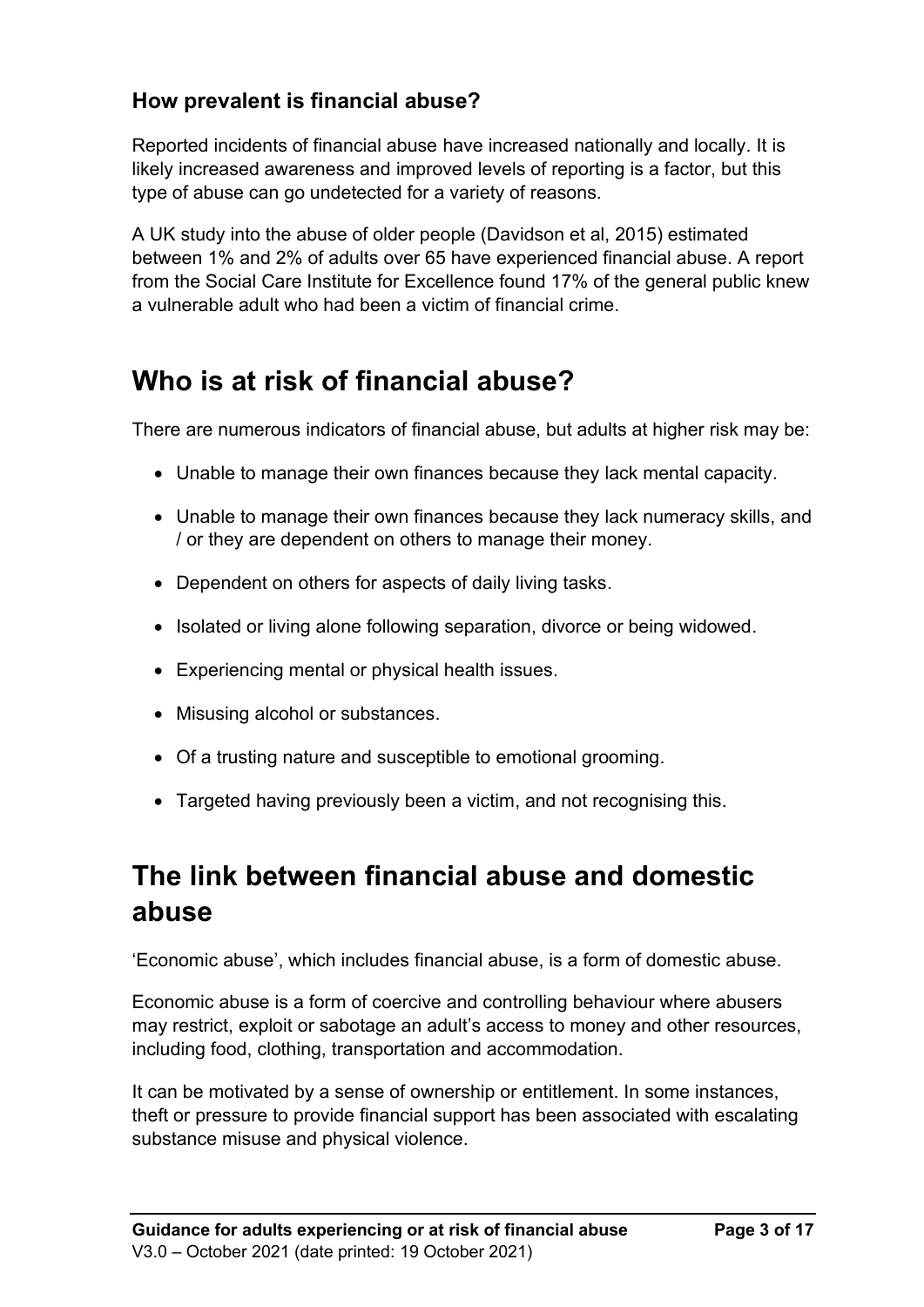### **How prevalent is financial abuse?**

Reported incidents of financial abuse have increased nationally and locally. It is likely increased awareness and improved levels of reporting is a factor, but this type of abuse can go undetected for a variety of reasons.

A UK study into the abuse of older people (Davidson et al, 2015) estimated between 1% and 2% of adults over 65 have experienced financial abuse. A report from the Social Care Institute for Excellence found 17% of the general public knew a vulnerable adult who had been a victim of financial crime.

## <span id="page-4-0"></span>**Who is at risk of financial abuse?**

There are numerous indicators of financial abuse, but adults at higher risk may be:

- Unable to manage their own finances because they lack mental capacity.
- Unable to manage their own finances because they lack numeracy skills, and / or they are dependent on others to manage their money.
- Dependent on others for aspects of daily living tasks.
- Isolated or living alone following separation, divorce or being widowed.
- Experiencing mental or physical health issues.
- Misusing alcohol or substances.
- Of a trusting nature and susceptible to emotional grooming.
- <span id="page-4-1"></span>• Targeted having previously been a victim, and not recognising this.

## **The link between financial abuse and domestic abuse**

'Economic abuse', which includes financial abuse, is a form of domestic abuse.

Economic abuse is a form of coercive and controlling behaviour where abusers may restrict, exploit or sabotage an adult's access to money and other resources, including food, clothing, transportation and accommodation.

It can be motivated by a sense of ownership or entitlement. In some instances, theft or pressure to provide financial support has been associated with escalating substance misuse and physical violence.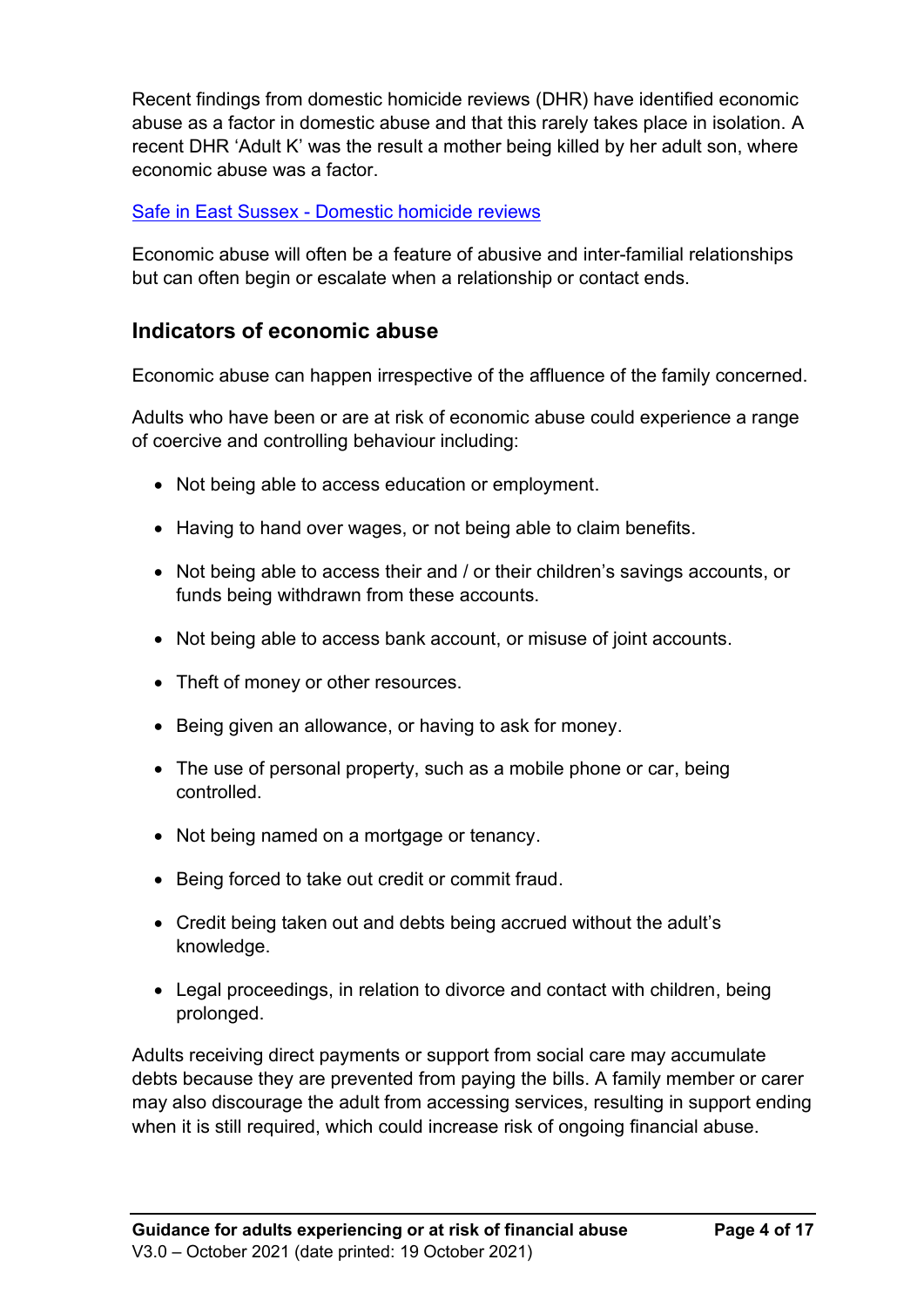Recent findings from domestic homicide reviews (DHR) have identified economic abuse as a factor in domestic abuse and that this rarely takes place in isolation. A recent DHR 'Adult K' was the result a mother being killed by her adult son, where economic abuse was a factor.

#### Safe in East Sussex - [Domestic homicide reviews](https://www.safeineastsussex.org.uk/Domestic%20Homicide%20Reviews.html)

Economic abuse will often be a feature of abusive and inter-familial relationships but can often begin or escalate when a relationship or contact ends.

#### **Indicators of economic abuse**

Economic abuse can happen irrespective of the affluence of the family concerned.

Adults who have been or are at risk of economic abuse could experience a range of coercive and controlling behaviour including:

- Not being able to access education or employment.
- Having to hand over wages, or not being able to claim benefits.
- Not being able to access their and / or their children's savings accounts, or funds being withdrawn from these accounts.
- Not being able to access bank account, or misuse of joint accounts.
- Theft of money or other resources.
- Being given an allowance, or having to ask for money.
- The use of personal property, such as a mobile phone or car, being controlled.
- Not being named on a mortgage or tenancy.
- Being forced to take out credit or commit fraud.
- Credit being taken out and debts being accrued without the adult's knowledge.
- Legal proceedings, in relation to divorce and contact with children, being prolonged.

Adults receiving direct payments or support from social care may accumulate debts because they are prevented from paying the bills. A family member or carer may also discourage the adult from accessing services, resulting in support ending when it is still required, which could increase risk of ongoing financial abuse.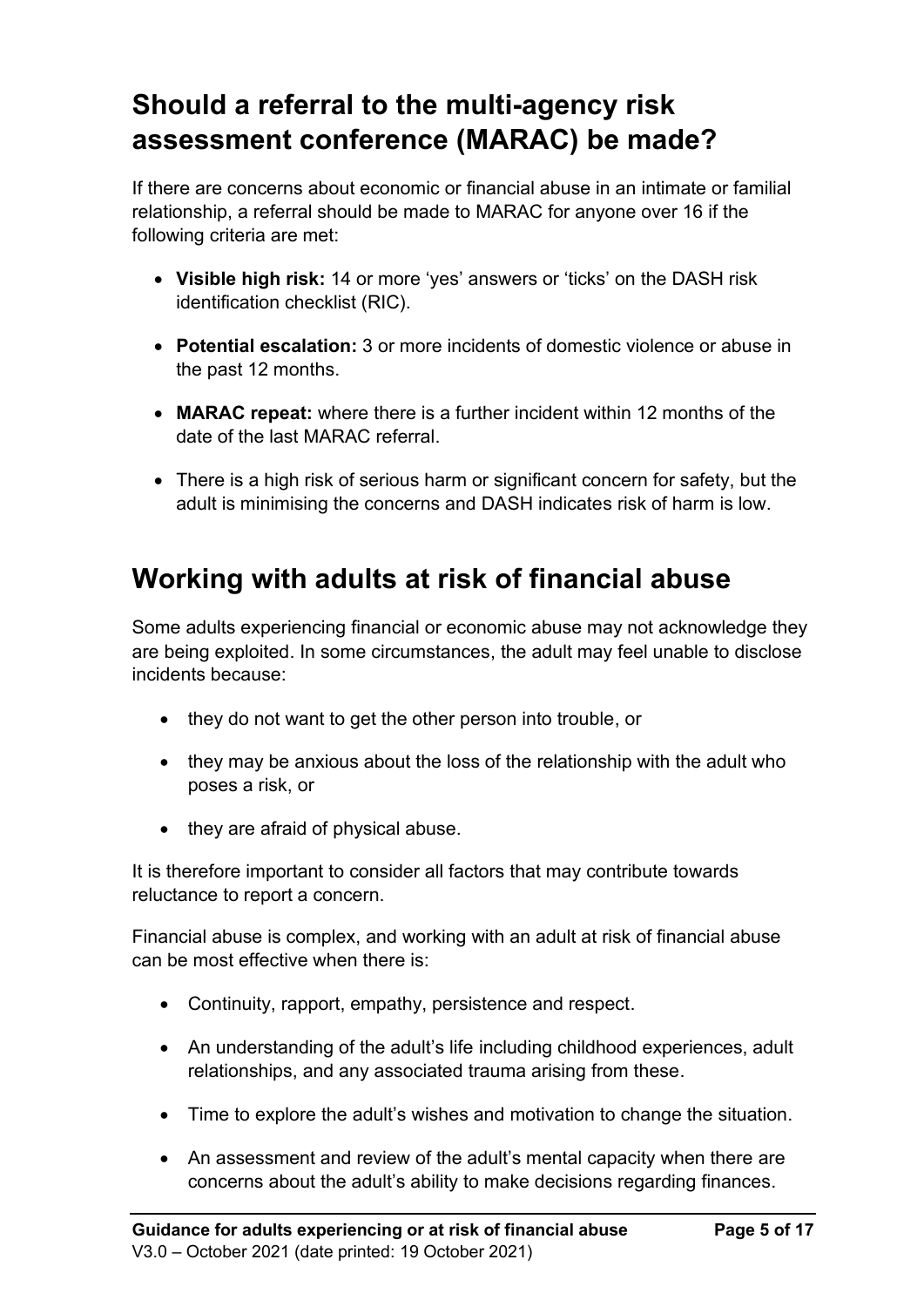## <span id="page-6-0"></span>**Should a referral to the multi-agency risk assessment conference (MARAC) be made?**

If there are concerns about economic or financial abuse in an intimate or familial relationship, a referral should be made to MARAC for anyone over 16 if the following criteria are met:

- **Visible high risk:** 14 or more 'yes' answers or 'ticks' on the DASH risk identification checklist (RIC).
- **Potential escalation:** 3 or more incidents of domestic violence or abuse in the past 12 months.
- **MARAC repeat:** where there is a further incident within 12 months of the date of the last MARAC referral.
- There is a high risk of serious harm or significant concern for safety, but the adult is minimising the concerns and DASH indicates risk of harm is low.

## <span id="page-6-1"></span>**Working with adults at risk of financial abuse**

Some adults experiencing financial or economic abuse may not acknowledge they are being exploited. In some circumstances, the adult may feel unable to disclose incidents because:

- they do not want to get the other person into trouble, or
- they may be anxious about the loss of the relationship with the adult who poses a risk, or
- they are afraid of physical abuse.

It is therefore important to consider all factors that may contribute towards reluctance to report a concern.

Financial abuse is complex, and working with an adult at risk of financial abuse can be most effective when there is:

- Continuity, rapport, empathy, persistence and respect.
- An understanding of the adult's life including childhood experiences, adult relationships, and any associated trauma arising from these.
- Time to explore the adult's wishes and motivation to change the situation.
- An assessment and review of the adult's mental capacity when there are concerns about the adult's ability to make decisions regarding finances.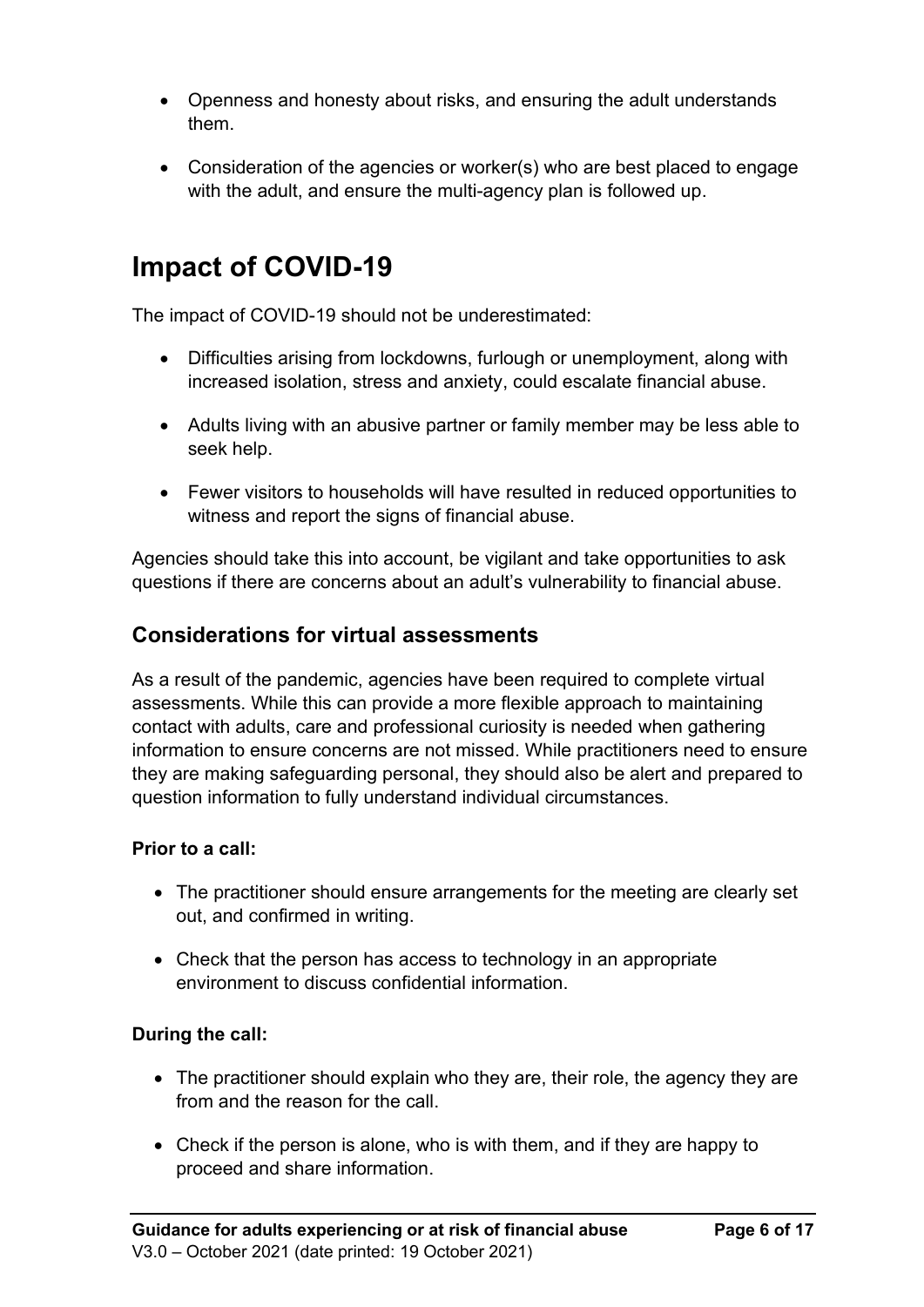- Openness and honesty about risks, and ensuring the adult understands them.
- Consideration of the agencies or worker(s) who are best placed to engage with the adult, and ensure the multi-agency plan is followed up.

## <span id="page-7-0"></span>**Impact of COVID-19**

The impact of COVID-19 should not be underestimated:

- Difficulties arising from lockdowns, furlough or unemployment, along with increased isolation, stress and anxiety, could escalate financial abuse.
- Adults living with an abusive partner or family member may be less able to seek help.
- Fewer visitors to households will have resulted in reduced opportunities to witness and report the signs of financial abuse.

Agencies should take this into account, be vigilant and take opportunities to ask questions if there are concerns about an adult's vulnerability to financial abuse.

### **Considerations for virtual assessments**

As a result of the pandemic, agencies have been required to complete virtual assessments. While this can provide a more flexible approach to maintaining contact with adults, care and professional curiosity is needed when gathering information to ensure concerns are not missed. While practitioners need to ensure they are making safeguarding personal, they should also be alert and prepared to question information to fully understand individual circumstances.

#### **Prior to a call:**

- The practitioner should ensure arrangements for the meeting are clearly set out, and confirmed in writing.
- Check that the person has access to technology in an appropriate environment to discuss confidential information.

#### **During the call:**

- The practitioner should explain who they are, their role, the agency they are from and the reason for the call.
- Check if the person is alone, who is with them, and if they are happy to proceed and share information.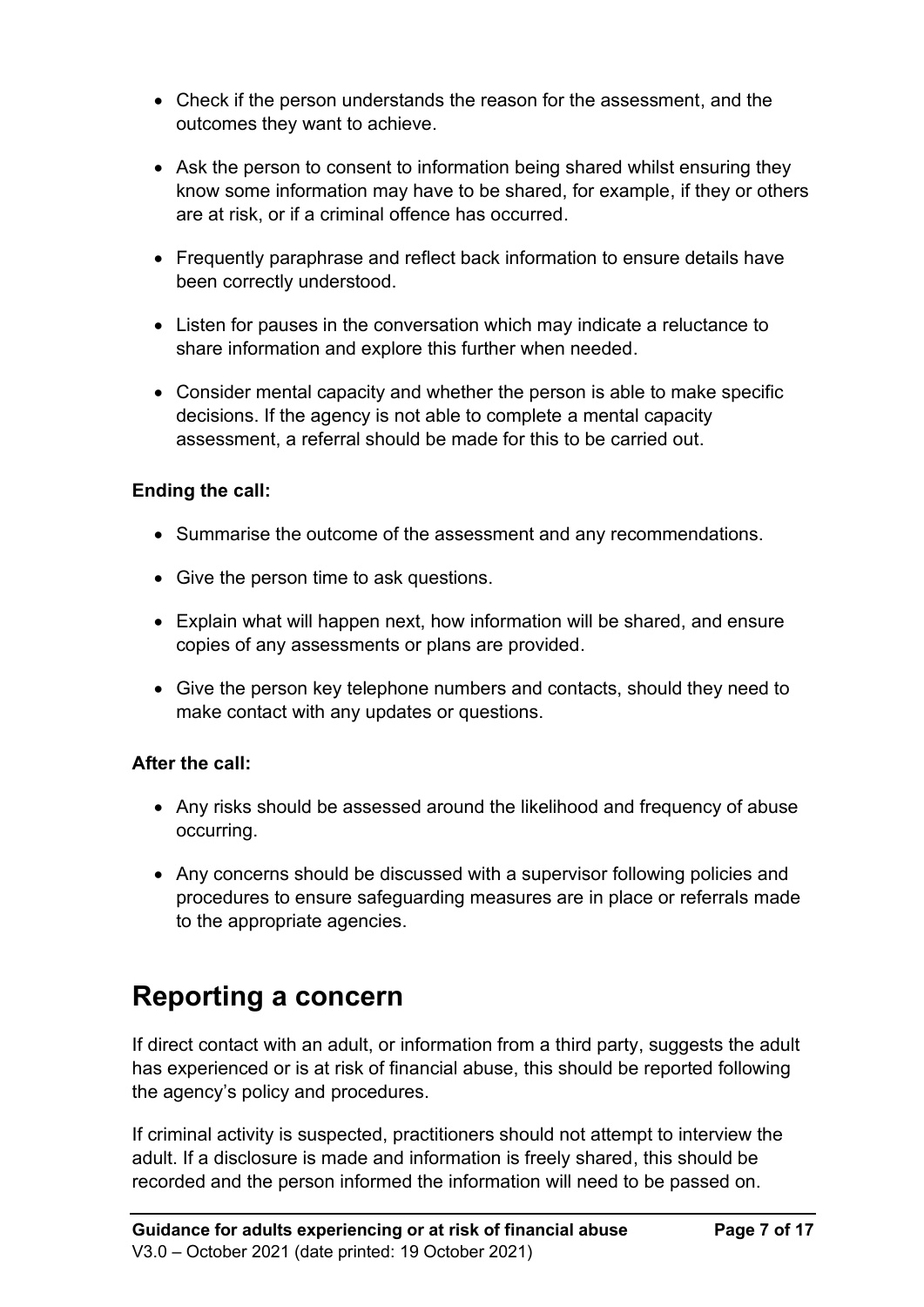- Check if the person understands the reason for the assessment, and the outcomes they want to achieve.
- Ask the person to consent to information being shared whilst ensuring they know some information may have to be shared, for example, if they or others are at risk, or if a criminal offence has occurred.
- Frequently paraphrase and reflect back information to ensure details have been correctly understood.
- Listen for pauses in the conversation which may indicate a reluctance to share information and explore this further when needed.
- Consider mental capacity and whether the person is able to make specific decisions. If the agency is not able to complete a mental capacity assessment, a referral should be made for this to be carried out.

#### **Ending the call:**

- Summarise the outcome of the assessment and any recommendations.
- Give the person time to ask questions.
- Explain what will happen next, how information will be shared, and ensure copies of any assessments or plans are provided.
- Give the person key telephone numbers and contacts, should they need to make contact with any updates or questions.

#### **After the call:**

- Any risks should be assessed around the likelihood and frequency of abuse occurring.
- Any concerns should be discussed with a supervisor following policies and procedures to ensure safeguarding measures are in place or referrals made to the appropriate agencies.

## <span id="page-8-0"></span>**Reporting a concern**

If direct contact with an adult, or information from a third party, suggests the adult has experienced or is at risk of financial abuse, this should be reported following the agency's policy and procedures.

If criminal activity is suspected, practitioners should not attempt to interview the adult. If a disclosure is made and information is freely shared, this should be recorded and the person informed the information will need to be passed on.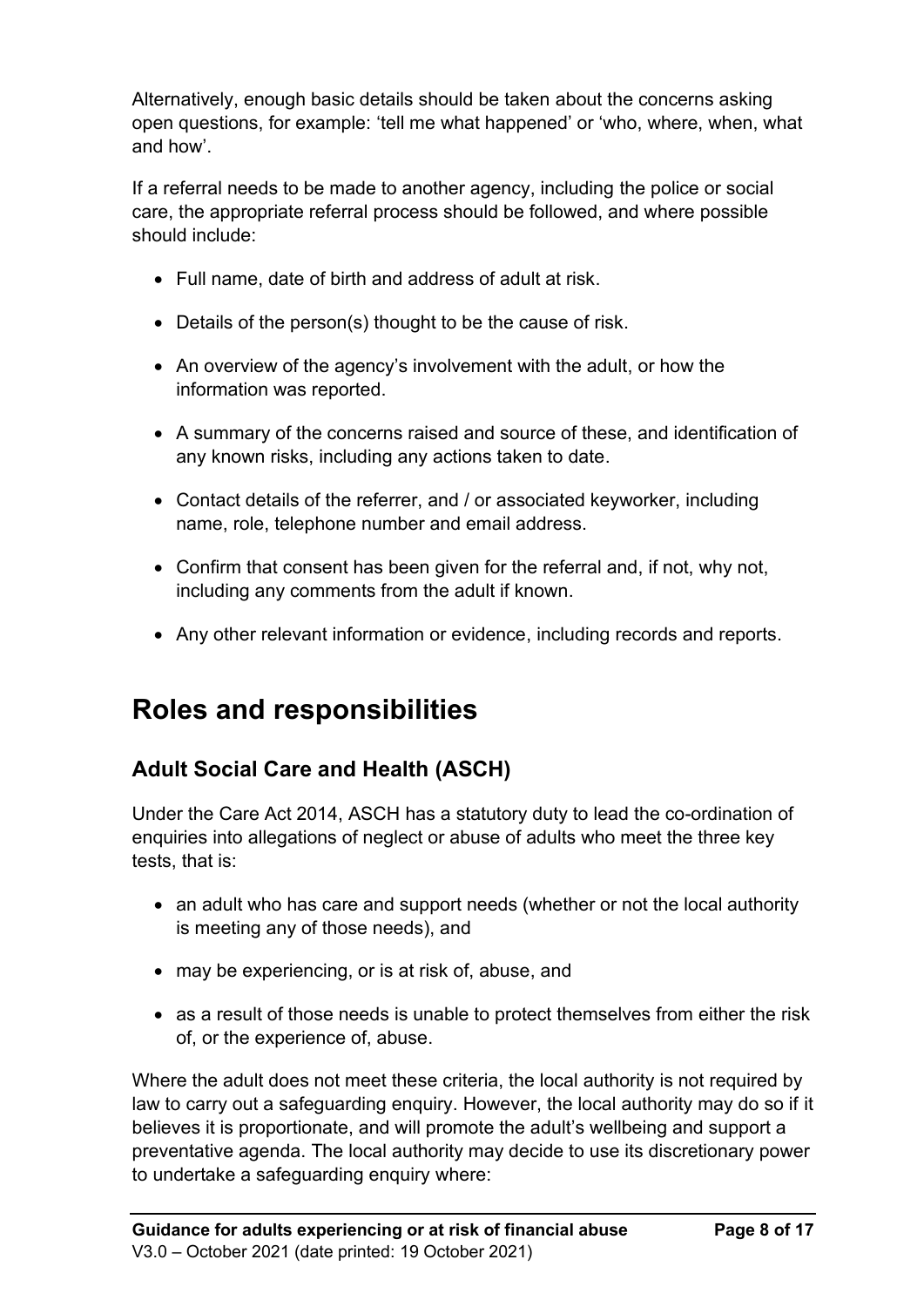Alternatively, enough basic details should be taken about the concerns asking open questions, for example: 'tell me what happened' or 'who, where, when, what and how'.

If a referral needs to be made to another agency, including the police or social care, the appropriate referral process should be followed, and where possible should include:

- Full name, date of birth and address of adult at risk.
- Details of the person(s) thought to be the cause of risk.
- An overview of the agency's involvement with the adult, or how the information was reported.
- A summary of the concerns raised and source of these, and identification of any known risks, including any actions taken to date.
- Contact details of the referrer, and / or associated keyworker, including name, role, telephone number and email address.
- Confirm that consent has been given for the referral and, if not, why not, including any comments from the adult if known.
- <span id="page-9-0"></span>• Any other relevant information or evidence, including records and reports.

## **Roles and responsibilities**

### <span id="page-9-1"></span>**Adult Social Care and Health (ASCH)**

Under the Care Act 2014, ASCH has a statutory duty to lead the co-ordination of enquiries into allegations of neglect or abuse of adults who meet the three key tests, that is:

- an adult who has care and support needs (whether or not the local authority is meeting any of those needs), and
- may be experiencing, or is at risk of, abuse, and
- as a result of those needs is unable to protect themselves from either the risk of, or the experience of, abuse.

Where the adult does not meet these criteria, the local authority is not required by law to carry out a safeguarding enquiry. However, the local authority may do so if it believes it is proportionate, and will promote the adult's wellbeing and support a preventative agenda. The local authority may decide to use its discretionary power to undertake a safeguarding enquiry where: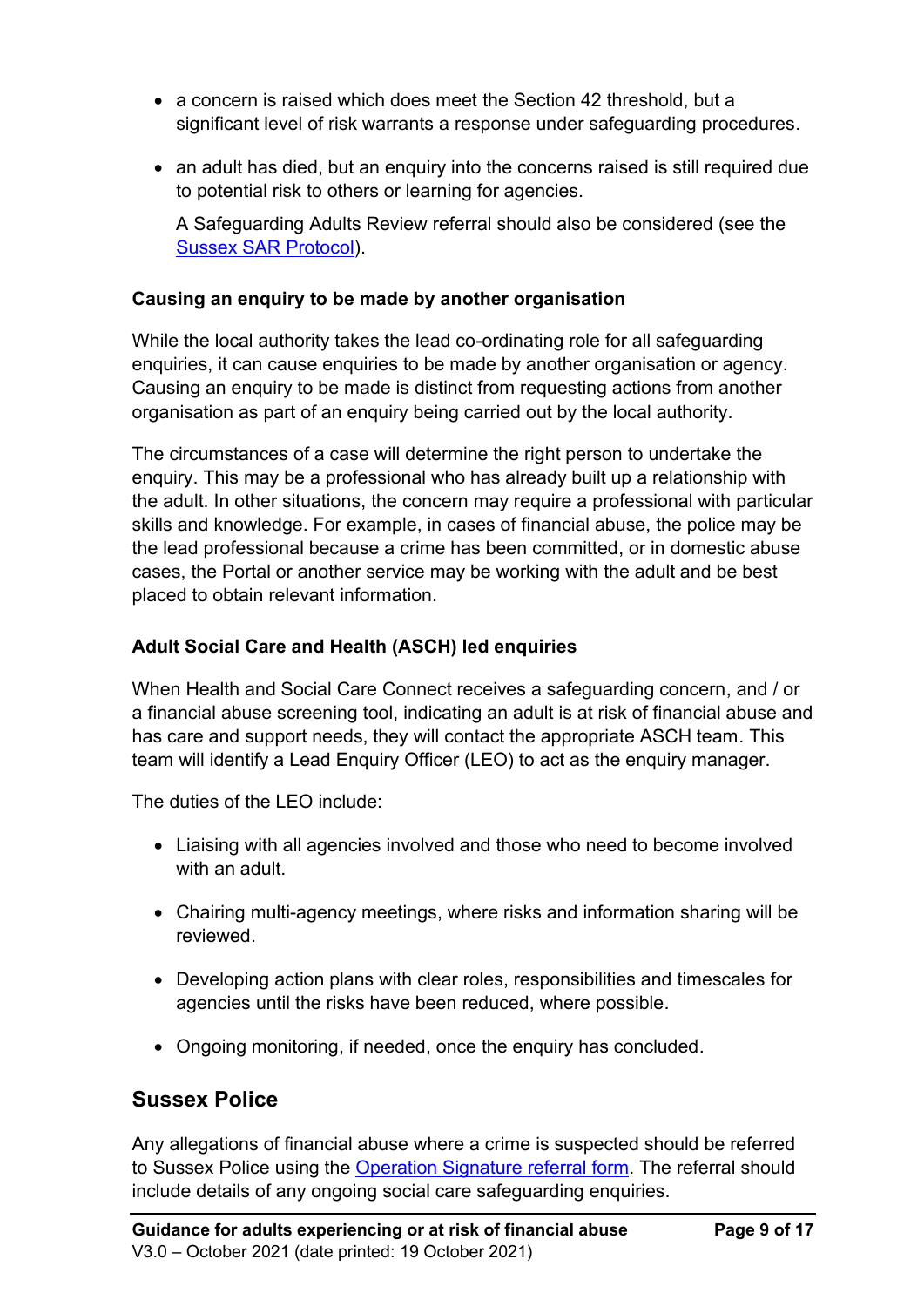- a concern is raised which does meet the Section 42 threshold, but a significant level of risk warrants a response under safeguarding procedures.
- an adult has died, but an enquiry into the concerns raised is still required due to potential risk to others or learning for agencies.

A Safeguarding Adults Review referral should also be considered (see the [Sussex SAR Protocol\)](https://www.eastsussexsab.org.uk/documents/sussex-sar-protocol/).

#### **Causing an enquiry to be made by another organisation**

While the local authority takes the lead co-ordinating role for all safeguarding enquiries, it can cause enquiries to be made by another organisation or agency. Causing an enquiry to be made is distinct from requesting actions from another organisation as part of an enquiry being carried out by the local authority.

The circumstances of a case will determine the right person to undertake the enquiry. This may be a professional who has already built up a relationship with the adult. In other situations, the concern may require a professional with particular skills and knowledge. For example, in cases of financial abuse, the police may be the lead professional because a crime has been committed, or in domestic abuse cases, the Portal or another service may be working with the adult and be best placed to obtain relevant information.

#### **Adult Social Care and Health (ASCH) led enquiries**

When Health and Social Care Connect receives a safeguarding concern, and / or a financial abuse screening tool, indicating an adult is at risk of financial abuse and has care and support needs, they will contact the appropriate ASCH team. This team will identify a Lead Enquiry Officer (LEO) to act as the enquiry manager.

The duties of the LEO include:

- Liaising with all agencies involved and those who need to become involved with an adult.
- Chairing multi-agency meetings, where risks and information sharing will be reviewed.
- Developing action plans with clear roles, responsibilities and timescales for agencies until the risks have been reduced, where possible.
- Ongoing monitoring, if needed, once the enquiry has concluded.

### <span id="page-10-0"></span>**Sussex Police**

Any allegations of financial abuse where a crime is suspected should be referred to Sussex Police using the [Operation Signature referral form.](https://www.eastsussexsab.org.uk/documents/operation-signature-referral-form/) The referral should include details of any ongoing social care safeguarding enquiries.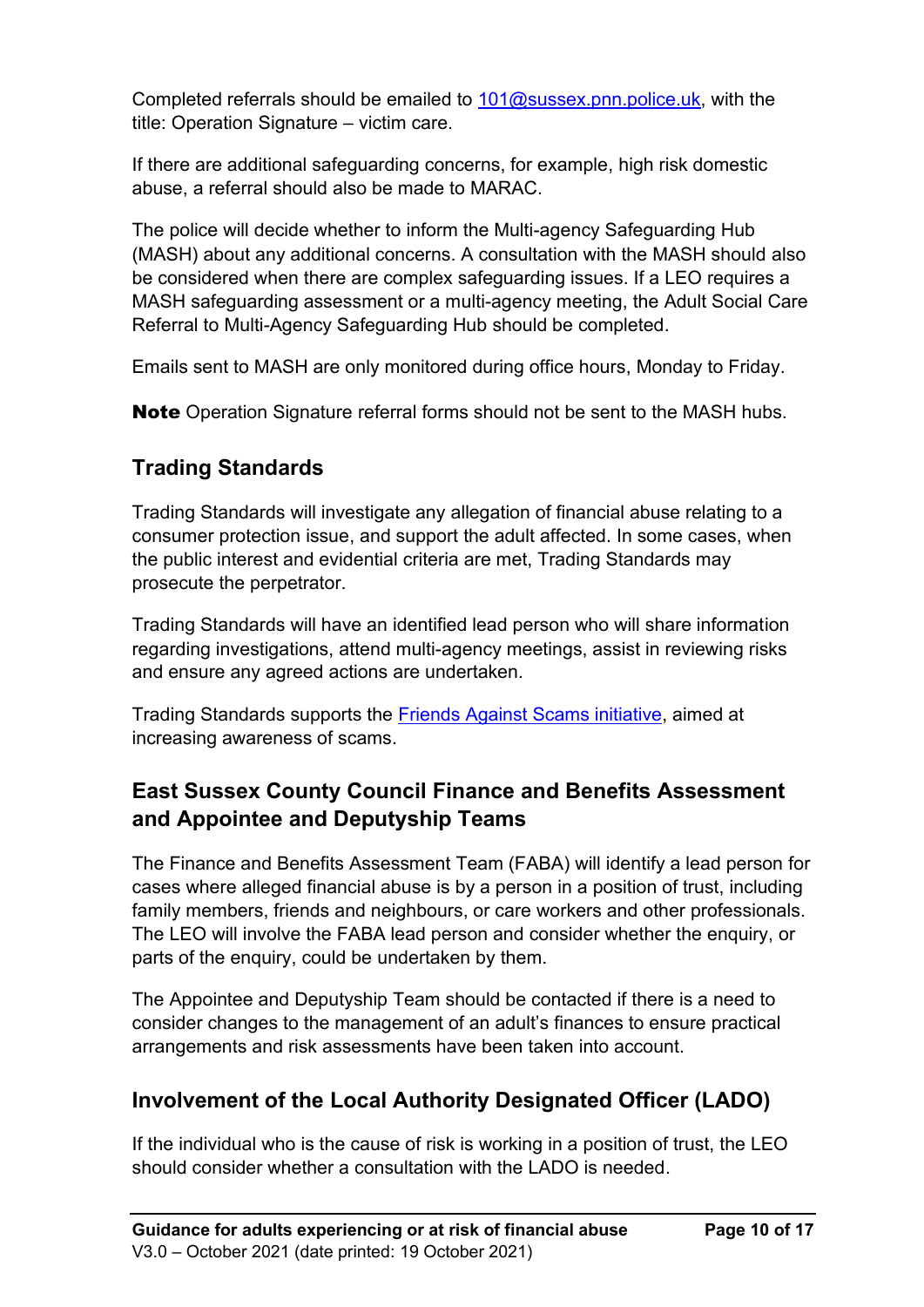Completed referrals should be emailed to  $101@$ sussex.pnn.police.uk, with the title: Operation Signature – victim care.

If there are additional safeguarding concerns, for example, high risk domestic abuse, a referral should also be made to MARAC.

The police will decide whether to inform the Multi-agency Safeguarding Hub (MASH) about any additional concerns. A consultation with the MASH should also be considered when there are complex safeguarding issues. If a LEO requires a MASH safeguarding assessment or a multi-agency meeting, the Adult Social Care Referral to Multi-Agency Safeguarding Hub should be completed.

Emails sent to MASH are only monitored during office hours, Monday to Friday.

**Note** Operation Signature referral forms should not be sent to the MASH hubs.

### <span id="page-11-0"></span>**Trading Standards**

Trading Standards will investigate any allegation of financial abuse relating to a consumer protection issue, and support the adult affected. In some cases, when the public interest and evidential criteria are met, Trading Standards may prosecute the perpetrator.

Trading Standards will have an identified lead person who will share information regarding investigations, attend multi-agency meetings, assist in reviewing risks and ensure any agreed actions are undertaken.

Trading Standards supports the **Friends Against Scams initiative**, aimed at increasing awareness of scams.

### <span id="page-11-1"></span>**East Sussex County Council Finance and Benefits Assessment and Appointee and Deputyship Teams**

The Finance and Benefits Assessment Team (FABA) will identify a lead person for cases where alleged financial abuse is by a person in a position of trust, including family members, friends and neighbours, or care workers and other professionals. The LEO will involve the FABA lead person and consider whether the enquiry, or parts of the enquiry, could be undertaken by them.

The Appointee and Deputyship Team should be contacted if there is a need to consider changes to the management of an adult's finances to ensure practical arrangements and risk assessments have been taken into account.

### <span id="page-11-2"></span>**Involvement of the Local Authority Designated Officer (LADO)**

If the individual who is the cause of risk is working in a position of trust, the LEO should consider whether a consultation with the LADO is needed.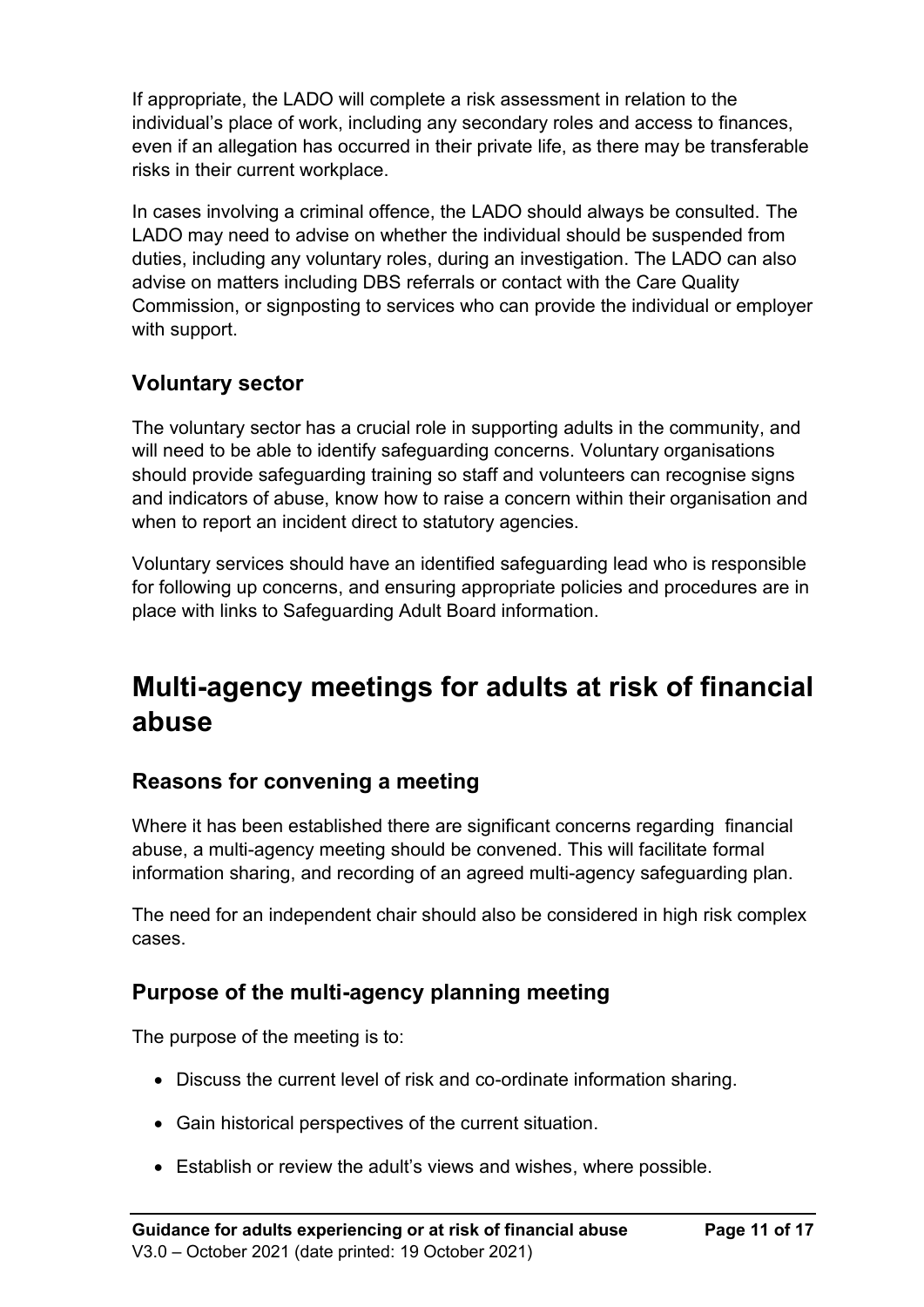If appropriate, the LADO will complete a risk assessment in relation to the individual's place of work, including any secondary roles and access to finances, even if an allegation has occurred in their private life, as there may be transferable risks in their current workplace.

In cases involving a criminal offence, the LADO should always be consulted. The LADO may need to advise on whether the individual should be suspended from duties, including any voluntary roles, during an investigation. The LADO can also advise on matters including DBS referrals or contact with the Care Quality Commission, or signposting to services who can provide the individual or employer with support.

### <span id="page-12-0"></span>**Voluntary sector**

The voluntary sector has a crucial role in supporting adults in the community, and will need to be able to identify safeguarding concerns. Voluntary organisations should provide safeguarding training so staff and volunteers can recognise signs and indicators of abuse, know how to raise a concern within their organisation and when to report an incident direct to statutory agencies.

Voluntary services should have an identified safeguarding lead who is responsible for following up concerns, and ensuring appropriate policies and procedures are in place with links to Safeguarding Adult Board information.

## <span id="page-12-1"></span>**Multi-agency meetings for adults at risk of financial abuse**

### <span id="page-12-2"></span>**Reasons for convening a meeting**

Where it has been established there are significant concerns regarding financial abuse, a multi-agency meeting should be convened. This will facilitate formal information sharing, and recording of an agreed multi-agency safeguarding plan.

The need for an independent chair should also be considered in high risk complex cases.

### <span id="page-12-3"></span>**Purpose of the multi-agency planning meeting**

The purpose of the meeting is to:

- Discuss the current level of risk and co-ordinate information sharing.
- Gain historical perspectives of the current situation.
- Establish or review the adult's views and wishes, where possible.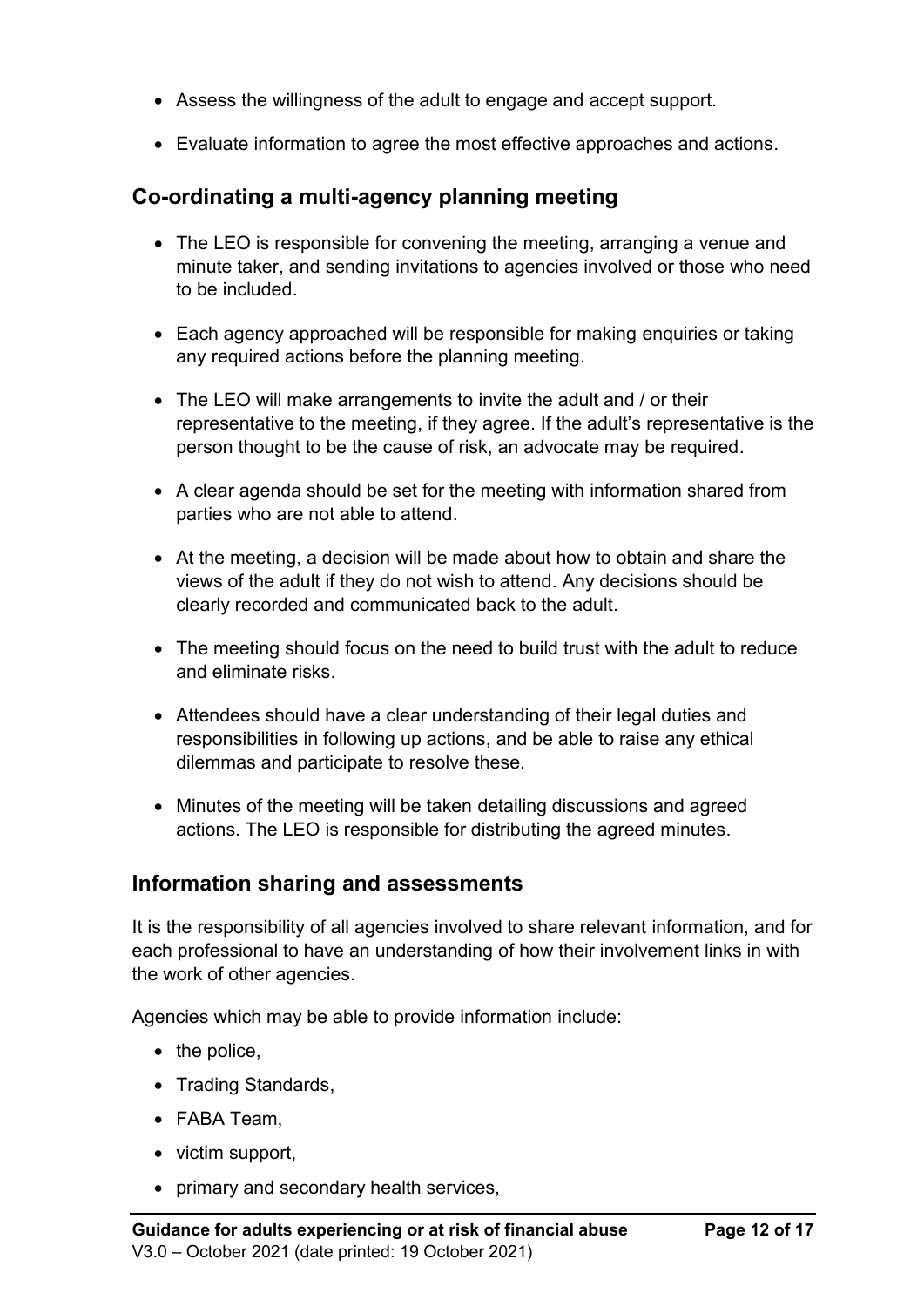- Assess the willingness of the adult to engage and accept support.
- Evaluate information to agree the most effective approaches and actions.

### <span id="page-13-0"></span>**Co-ordinating a multi-agency planning meeting**

- The LEO is responsible for convening the meeting, arranging a venue and minute taker, and sending invitations to agencies involved or those who need to be included.
- Each agency approached will be responsible for making enquiries or taking any required actions before the planning meeting.
- The LEO will make arrangements to invite the adult and / or their representative to the meeting, if they agree. If the adult's representative is the person thought to be the cause of risk, an advocate may be required.
- A clear agenda should be set for the meeting with information shared from parties who are not able to attend.
- At the meeting, a decision will be made about how to obtain and share the views of the adult if they do not wish to attend. Any decisions should be clearly recorded and communicated back to the adult.
- The meeting should focus on the need to build trust with the adult to reduce and eliminate risks.
- Attendees should have a clear understanding of their legal duties and responsibilities in following up actions, and be able to raise any ethical dilemmas and participate to resolve these.
- Minutes of the meeting will be taken detailing discussions and agreed actions. The LEO is responsible for distributing the agreed minutes.

### <span id="page-13-1"></span>**Information sharing and assessments**

It is the responsibility of all agencies involved to share relevant information, and for each professional to have an understanding of how their involvement links in with the work of other agencies.

Agencies which may be able to provide information include:

- the police.
- Trading Standards,
- FABA Team,
- victim support,
- primary and secondary health services,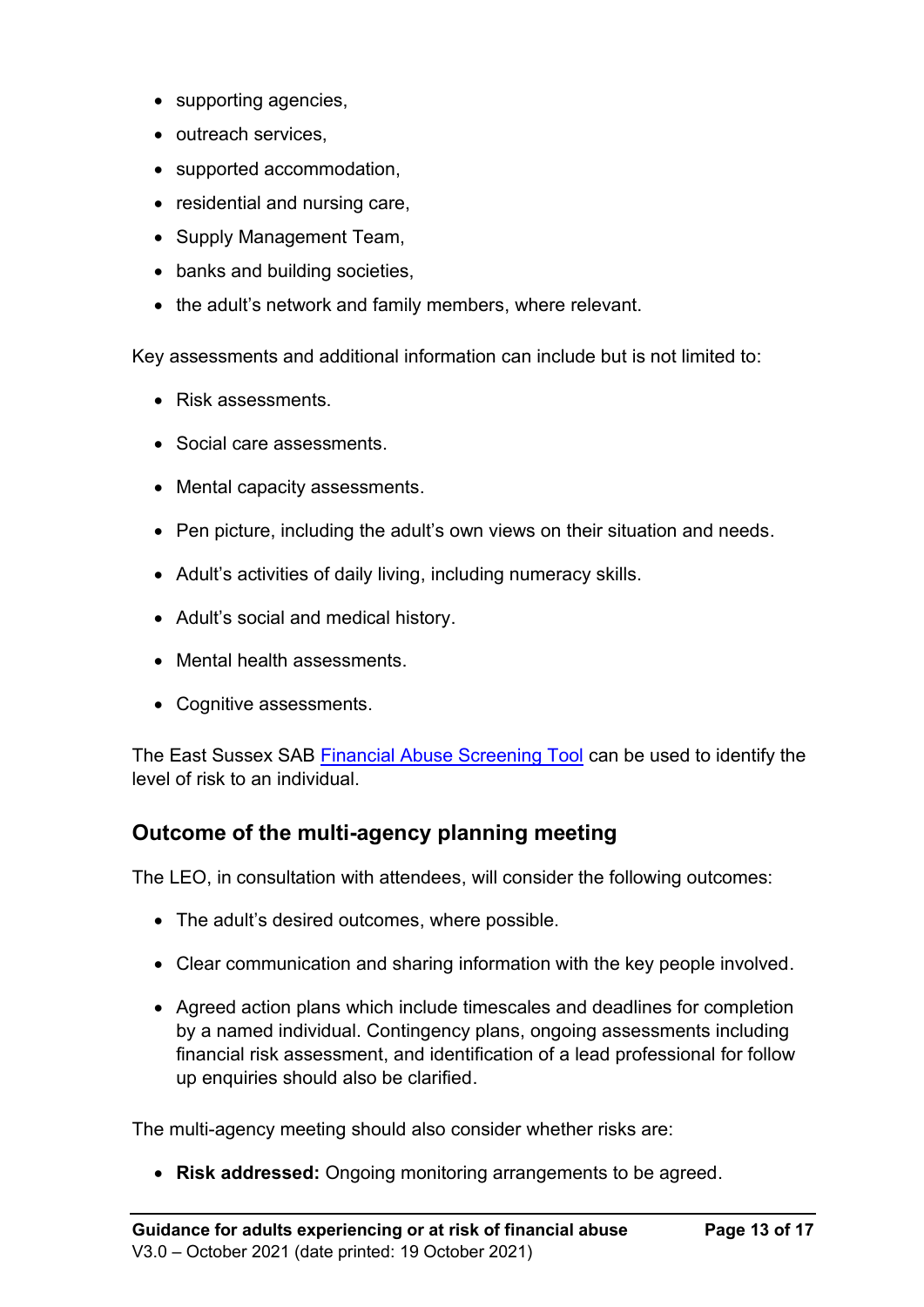- supporting agencies,
- outreach services,
- supported accommodation,
- residential and nursing care,
- Supply Management Team,
- banks and building societies,
- the adult's network and family members, where relevant.

Key assessments and additional information can include but is not limited to:

- Risk assessments.
- Social care assessments.
- Mental capacity assessments.
- Pen picture, including the adult's own views on their situation and needs.
- Adult's activities of daily living, including numeracy skills.
- Adult's social and medical history.
- Mental health assessments.
- Cognitive assessments.

The East Sussex SAB [Financial Abuse Screening Tool](https://www.eastsussexsab.org.uk/documents/financial-abuse-screening-tool/) can be used to identify the level of risk to an individual.

### <span id="page-14-0"></span>**Outcome of the multi-agency planning meeting**

The LEO, in consultation with attendees, will consider the following outcomes:

- The adult's desired outcomes, where possible.
- Clear communication and sharing information with the key people involved.
- Agreed action plans which include timescales and deadlines for completion by a named individual. Contingency plans, ongoing assessments including financial risk assessment, and identification of a lead professional for follow up enquiries should also be clarified.

The multi-agency meeting should also consider whether risks are:

• **Risk addressed:** Ongoing monitoring arrangements to be agreed.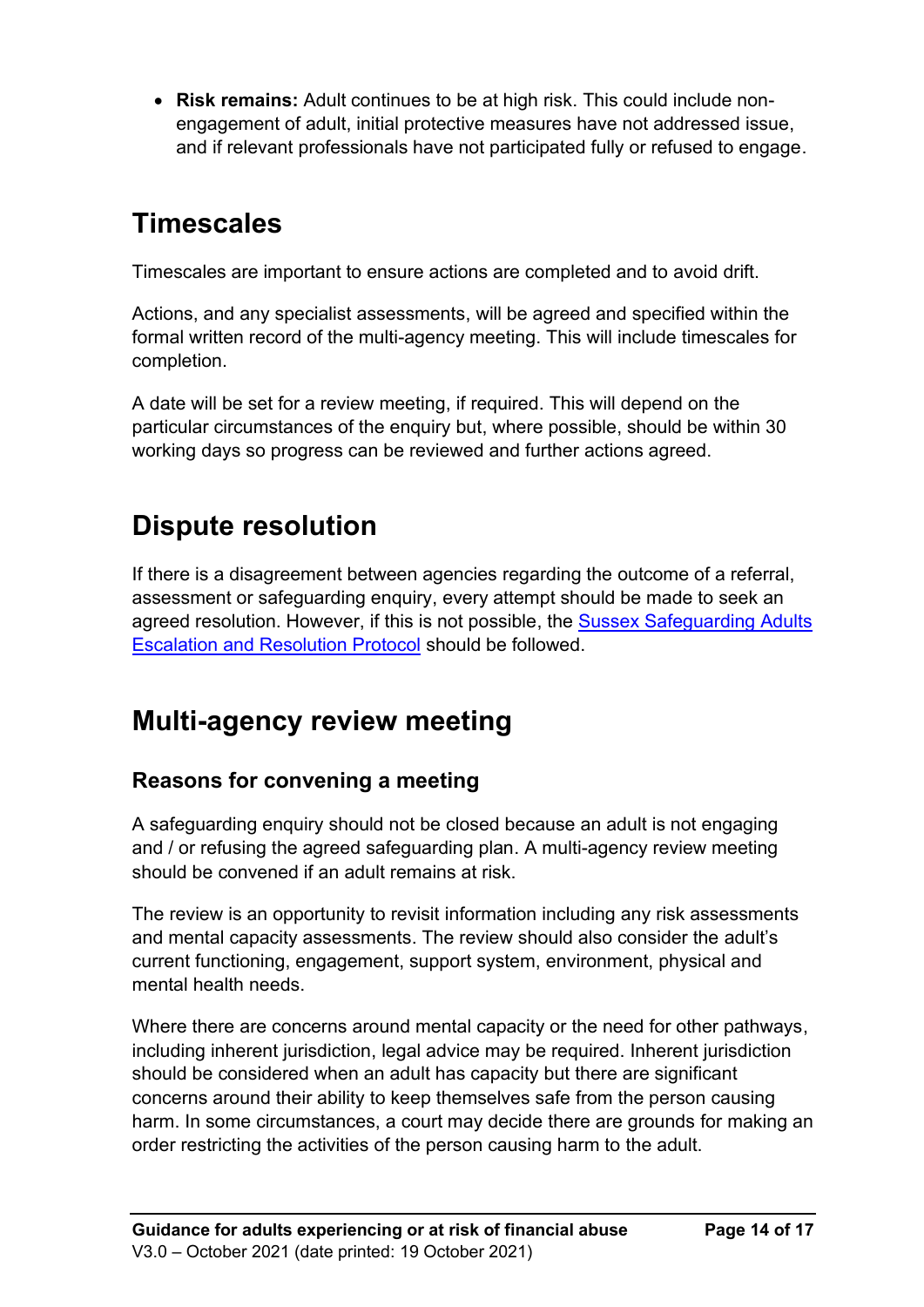• **Risk remains:** Adult continues to be at high risk. This could include nonengagement of adult, initial protective measures have not addressed issue, and if relevant professionals have not participated fully or refused to engage.

## <span id="page-15-0"></span>**Timescales**

Timescales are important to ensure actions are completed and to avoid drift.

Actions, and any specialist assessments, will be agreed and specified within the formal written record of the multi-agency meeting. This will include timescales for completion.

A date will be set for a review meeting, if required. This will depend on the particular circumstances of the enquiry but, where possible, should be within 30 working days so progress can be reviewed and further actions agreed.

## <span id="page-15-1"></span>**Dispute resolution**

If there is a disagreement between agencies regarding the outcome of a referral, assessment or safeguarding enquiry, every attempt should be made to seek an agreed resolution. However, if this is not possible, the [Sussex Safeguarding Adults](https://www.bhsab.org.uk/wp-content/uploads/sites/2/2021/09/Pan-Sussex-SAB-Escalation-Resolution-Protocol-1.pdf)  [Escalation and Resolution Protocol](https://www.bhsab.org.uk/wp-content/uploads/sites/2/2021/09/Pan-Sussex-SAB-Escalation-Resolution-Protocol-1.pdf) should be followed.

## <span id="page-15-2"></span>**Multi-agency review meeting**

### <span id="page-15-3"></span>**Reasons for convening a meeting**

A safeguarding enquiry should not be closed because an adult is not engaging and / or refusing the agreed safeguarding plan. A multi-agency review meeting should be convened if an adult remains at risk.

The review is an opportunity to revisit information including any risk assessments and mental capacity assessments. The review should also consider the adult's current functioning, engagement, support system, environment, physical and mental health needs.

Where there are concerns around mental capacity or the need for other pathways, including inherent jurisdiction, legal advice may be required. Inherent jurisdiction should be considered when an adult has capacity but there are significant concerns around their ability to keep themselves safe from the person causing harm. In some circumstances, a court may decide there are grounds for making an order restricting the activities of the person causing harm to the adult.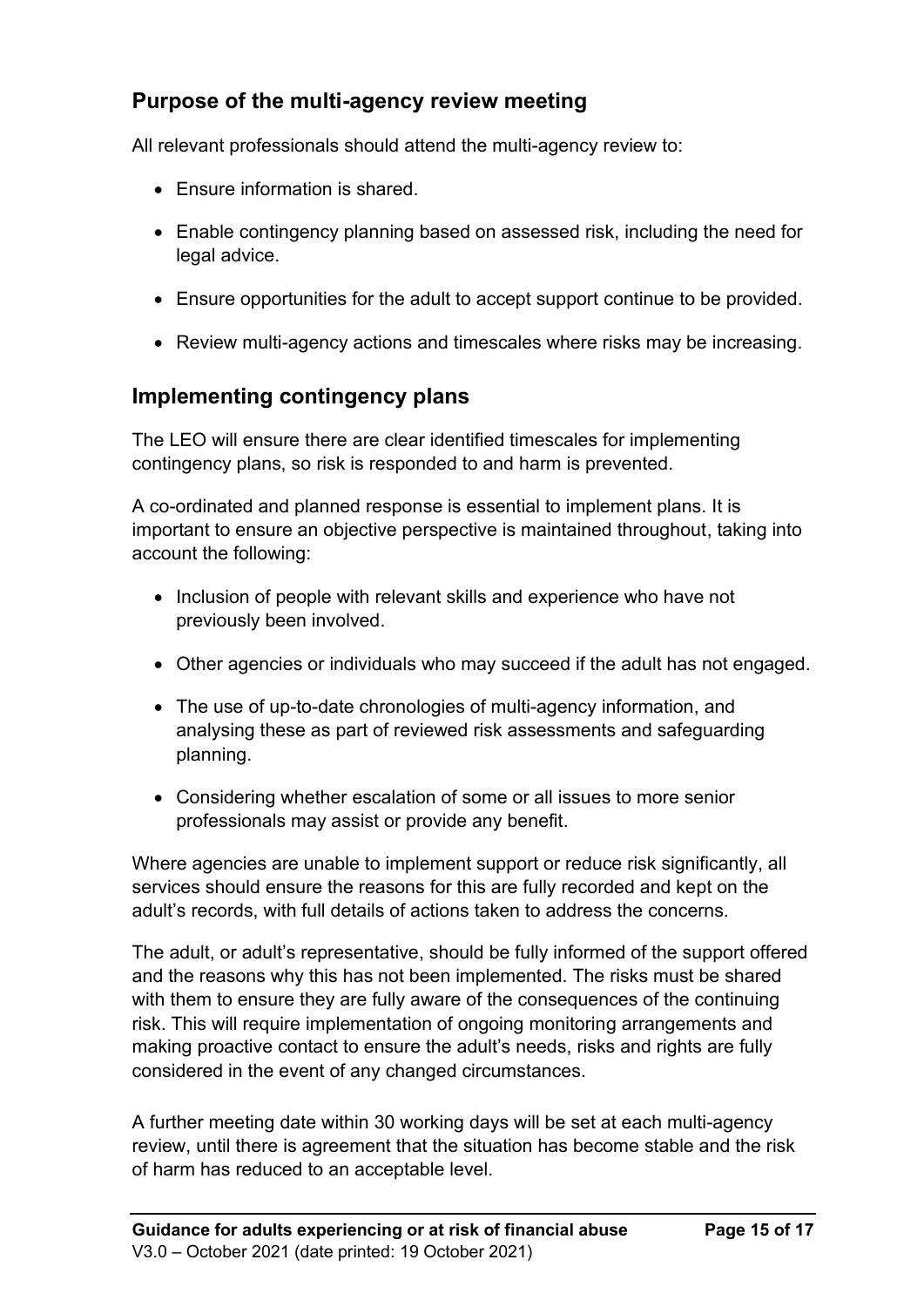### <span id="page-16-0"></span>**Purpose of the multi-agency review meeting**

All relevant professionals should attend the multi-agency review to:

- Ensure information is shared.
- Enable contingency planning based on assessed risk, including the need for legal advice.
- Ensure opportunities for the adult to accept support continue to be provided.
- Review multi-agency actions and timescales where risks may be increasing.

### <span id="page-16-1"></span>**Implementing contingency plans**

The LEO will ensure there are clear identified timescales for implementing contingency plans, so risk is responded to and harm is prevented.

A co-ordinated and planned response is essential to implement plans. It is important to ensure an objective perspective is maintained throughout, taking into account the following:

- Inclusion of people with relevant skills and experience who have not previously been involved.
- Other agencies or individuals who may succeed if the adult has not engaged.
- The use of up-to-date chronologies of multi-agency information, and analysing these as part of reviewed risk assessments and safeguarding planning.
- Considering whether escalation of some or all issues to more senior professionals may assist or provide any benefit.

Where agencies are unable to implement support or reduce risk significantly, all services should ensure the reasons for this are fully recorded and kept on the adult's records, with full details of actions taken to address the concerns.

The adult, or adult's representative, should be fully informed of the support offered and the reasons why this has not been implemented. The risks must be shared with them to ensure they are fully aware of the consequences of the continuing risk. This will require implementation of ongoing monitoring arrangements and making proactive contact to ensure the adult's needs, risks and rights are fully considered in the event of any changed circumstances.

A further meeting date within 30 working days will be set at each multi-agency review, until there is agreement that the situation has become stable and the risk of harm has reduced to an acceptable level.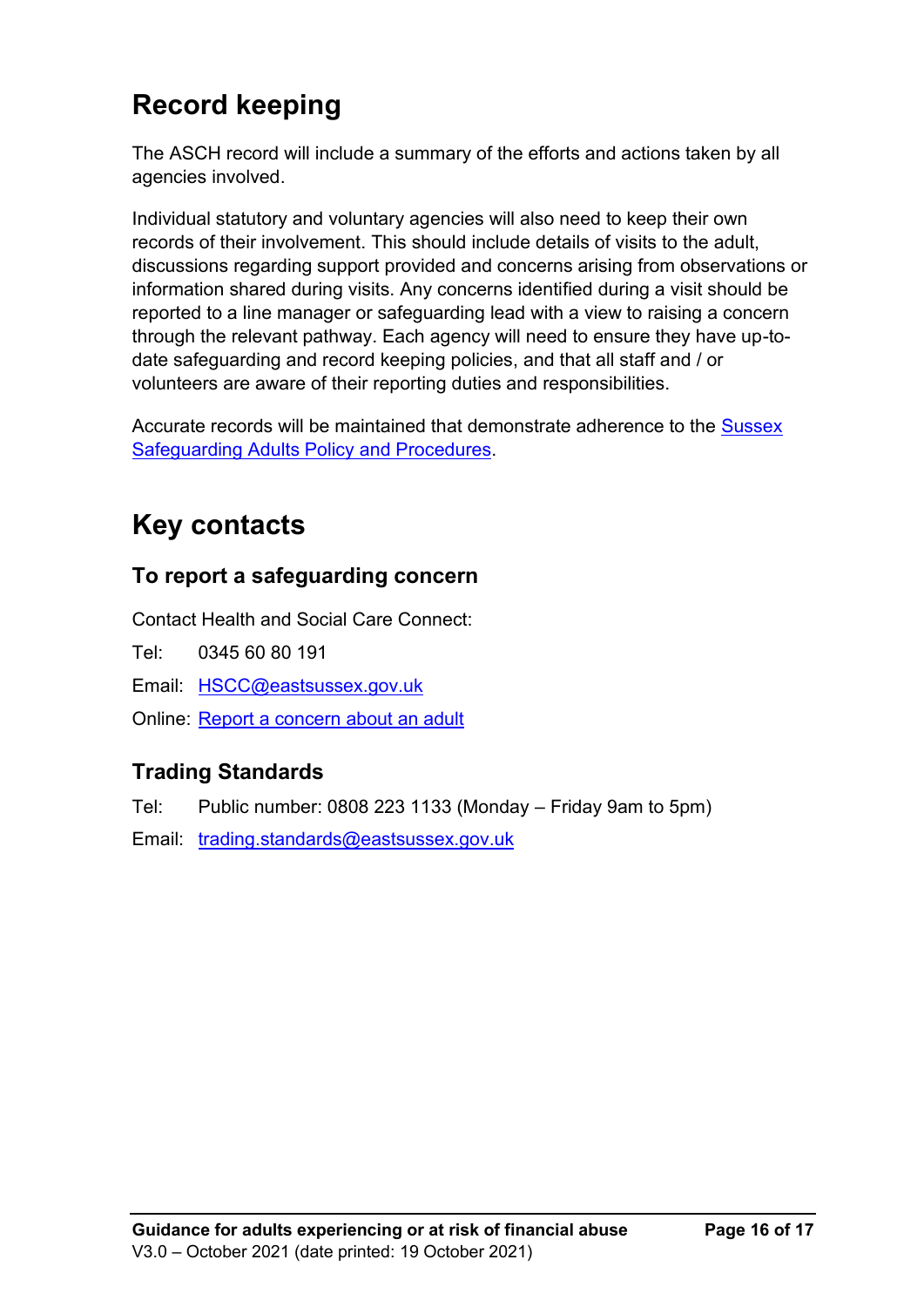## <span id="page-17-0"></span>**Record keeping**

The ASCH record will include a summary of the efforts and actions taken by all agencies involved.

Individual statutory and voluntary agencies will also need to keep their own records of their involvement. This should include details of visits to the adult, discussions regarding support provided and concerns arising from observations or information shared during visits. Any concerns identified during a visit should be reported to a line manager or safeguarding lead with a view to raising a concern through the relevant pathway. Each agency will need to ensure they have up-todate safeguarding and record keeping policies, and that all staff and / or volunteers are aware of their reporting duties and responsibilities.

<span id="page-17-1"></span>Accurate records will be maintained that demonstrate adherence to the **Sussex** [Safeguarding Adults Policy and Procedures.](http://sussexsafeguardingadults.procedures.org.uk/)

## **Key contacts**

### **To report a safeguarding concern**

Contact Health and Social Care Connect:

Tel: 0345 60 80 191

Email: [HSCC@eastsussex.gov.uk](mailto:HSCC@eastsussex.gov.uk)

Online: [Report a concern about an adult](https://new.eastsussex.gov.uk/social-care/worried/report)

### **Trading Standards**

Tel: Public number: 0808 223 1133 (Monday – Friday 9am to 5pm)

Email: [trading.standards@eastsussex.gov.uk](mailto:trading.standards@eastsussex.gov.uk)